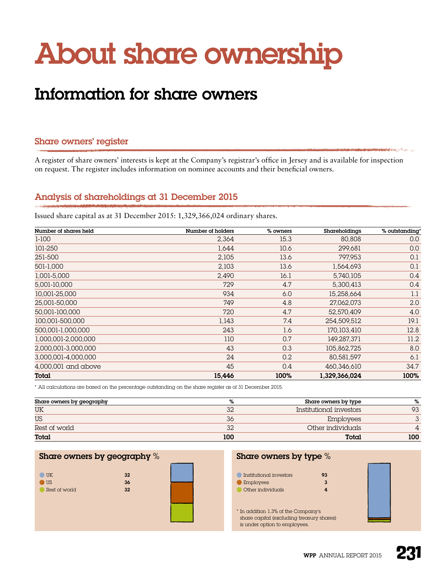# About share ownership

# Information for share owners

#### Share owners' register

A register of share owners' interests is kept at the Company's registrar's office in Jersey and is available for inspection on request. The register includes information on nominee accounts and their beneficial owners.

# Analysis of shareholdings at 31 December 2015

Issued share capital as at 31 December 2015: 1,329,366,024 ordinary shares.

| Number of shares held | Number of holders | % owners | Shareholdings | % outstanding* |
|-----------------------|-------------------|----------|---------------|----------------|
| $1-100$               | 2,364             | 15.3     | 80,808        | 0.0            |
| 101-250               | 1,644             | 10.6     | 299,681       | 0.0            |
| 251-500               | 2,105             | 13.6     | 797,953       | 0.1            |
| 501-1,000             | 2,103             | 13.6     | 1,564,693     | 0.1            |
| 1,001-5,000           | 2,490             | 16.1     | 5,740,105     | 0.4            |
| 5,001-10,000          | 729               | 4.7      | 5,300,413     | 0.4            |
| 10,001-25,000         | 934               | 6.0      | 15,258,664    | 1.1            |
| 25,001-50,000         | 749               | 4.8      | 27,062,073    | 2.0            |
| 50.001-100.000        | 720               | 4.7      | 52,570,409    | 4.0            |
| 100.001-500.000       | 1,143             | 7.4      | 254,509,512   | 19.1           |
| 500,001-1,000,000     | 243               | 1.6      | 170,103,410   | 12.8           |
| 1,000,001-2,000,000   | 110               | 0.7      | 149,287,371   | 11.2           |
| 2,000,001-3,000,000   | 43                | 0.3      | 105,862,725   | 8.0            |
| 3,000,001-4,000,000   | 24                | 0.2      | 80,581,597    | 6.1            |
| $4,000,001$ and above | 45                | 0.4      | 460,346,610   | 34.7           |
| Total                 | 15,446            | 100%     | 1,329,366,024 | 100%           |

\* All calculations are based on the percentage outstanding on the share register as of 31 December 2015.

| Share owners by geography | ℅   | Share owners by type    | %   |
|---------------------------|-----|-------------------------|-----|
| UK                        | 32  | Institutional investors | 93  |
| <b>US</b>                 | 36  | <b>Employees</b>        |     |
| Rest of world             | 32  | Other individuals       |     |
| Total                     | 100 | Total                   | 100 |

#### Share owners by geography %

| $\odot$ UK    | 32 |
|---------------|----|
| $\bullet$ US  | 36 |
| Rest of world | 32 |



#### Share owners by type %

| Institutional investors<br>o              | 93 |  |
|-------------------------------------------|----|--|
| <b>Employees</b>                          | 3  |  |
| Other individuals                         |    |  |
|                                           |    |  |
|                                           |    |  |
| * In addition 1.3% of the Company's       |    |  |
| share capital (excluding treasury shares) |    |  |
| is under option to employees.             |    |  |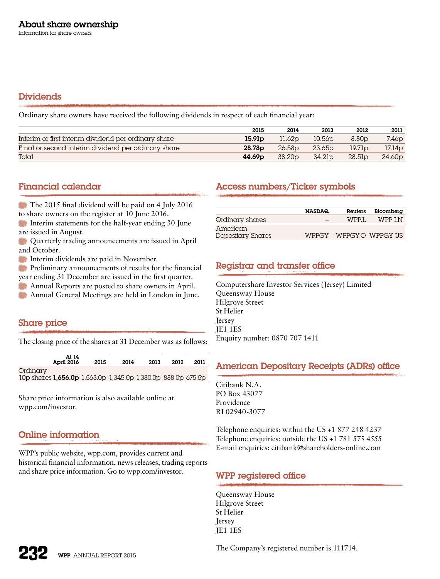# Dividends

Ordinary share owners have received the following dividends in respect of each financial year:

|                                                      | 2015               | 2014               | 2013               | 2012              | 2011               |
|------------------------------------------------------|--------------------|--------------------|--------------------|-------------------|--------------------|
| Interim or first interim dividend per ordinary share | 15.91 <sub>p</sub> | 11.62p             | 10.56 <sub>D</sub> | 8.80 <sub>D</sub> | 7.46 <sub>D</sub>  |
| Final or second interim dividend per ordinary share  | 28.78 <sub>p</sub> | 26.58 <sub>D</sub> | 23.65 <sub>p</sub> | 19.7 lp           | 17.14p             |
| Total                                                | 44.69 <sub>p</sub> | 38.20 <sub>p</sub> | 34.21 <sub>p</sub> | 28.5lp            | 24.60 <sub>p</sub> |

# Financial calendar

The 2015 final dividend will be paid on 4 July 2016 to share owners on the register at 10 June 2016.

Interim statements for the half-year ending 30 June are issued in August.

**Conserversity trading announcements are issued in April** and October.

Interim dividends are paid in November.

**Preliminary announcements of results for the financial** year ending 31 December are issued in the first quarter.

Annual Reports are posted to share owners in April.

Annual General Meetings are held in London in June.

# Share price

The closing price of the shares at 31 December was as follows:

|                                                                          | April 2016 | 2015 | 2014 | 2013 | 2012 | 2011 |
|--------------------------------------------------------------------------|------------|------|------|------|------|------|
| Ordinarv<br>10p shares 1,656.0p 1,563.0p 1,345.0p 1,380.0p 888.0p 675.5p |            |      |      |      |      |      |

Share price information is also available online at [wpp.com/investor.](http://www.wpp.com/investor)

# Online information

WPP's public website, [wpp.com,](http://www.wpp.com) provides current and historical financial information, news releases, trading reports and share price information. Go to wpp.com/investor.

# Access numbers/Ticker symbols

|                               | <b>NASDAQ</b> | Reuters          | Bloomberg              |
|-------------------------------|---------------|------------------|------------------------|
| Ordinary shares               |               | WPP <sub>I</sub> | WPP I.N                |
| American<br>Depositary Shares |               |                  | WPPGY WPPGY.O WPPGY US |

# Registrar and transfer office

Computershare Investor Services (Jersey) Limited Queensway House Hilgrove Street St Helier *<u>Iersey</u>* JE1 1ES Enquiry number: 0870 707 1411

# American Depositary Receipts (ADRs) office

Citibank N.A. PO Box 43077 Providence RI 02940-3077

Telephone enquiries: within the US +1 877 248 4237 Telephone enquiries: outside the US +1 781 575 4555 E-mail enquiries: [citibank@shareholders-online.com](mailto:citibank%40shareholders-online.com?subject=)

# WPP registered office

Queensway House Hilgrove Street St Helier Jersey JE1 1ES

WPP ANNUAL REPORT 2015

The Company's registered number is 111714.